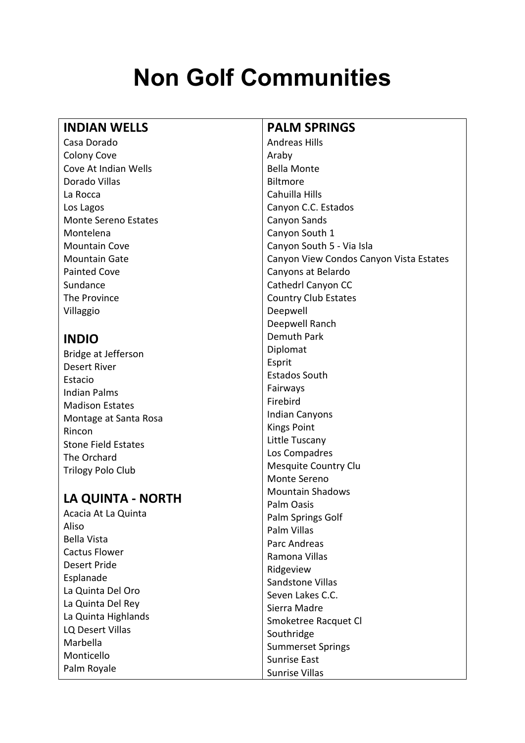# **Non Golf Communities**

#### **INDIAN WELLS**

Casa Dorado Colony Cove Cove At Indian Wells Dorado Villas La Rocca Los Lagos Monte Sereno Estates Montelena Mountain Cove Mountain Gate Painted Cove Sundance The Province Villaggio

## **INDIO**

Bridge at Jefferson Desert River Estacio Indian Palms Madison Estates Montage at Santa Rosa Rincon Stone Field Estates The Orchard Trilogy Polo Club

## **LA QUINTA - NORTH**

Acacia At La Quinta Aliso Bella Vista Cactus Flower Desert Pride Esplanade La Quinta Del Oro La Quinta Del Rey La Quinta Highlands LQ Desert Villas Marbella Monticello Palm Royale

#### **PALM SPRINGS**

Andreas Hills Araby Bella Monte Biltmore Cahuilla Hills Canyon C.C. Estados Canyon Sands Canyon South 1 Canyon South 5 - Via Isla Canyon View Condos Canyon Vista Estates Canyons at Belardo Cathedrl Canyon CC Country Club Estates Deepwell Deepwell Ranch Demuth Park Diplomat Esprit Estados South Fairways Firebird Indian Canyons Kings Point Little Tuscany Los Compadres Mesquite Country Clu Monte Sereno Mountain Shadows Palm Oasis Palm Springs Golf Palm Villas Parc Andreas Ramona Villas Ridgeview Sandstone Villas Seven Lakes C.C. Sierra Madre Smoketree Racquet Cl Southridge Summerset Springs Sunrise East Sunrise Villas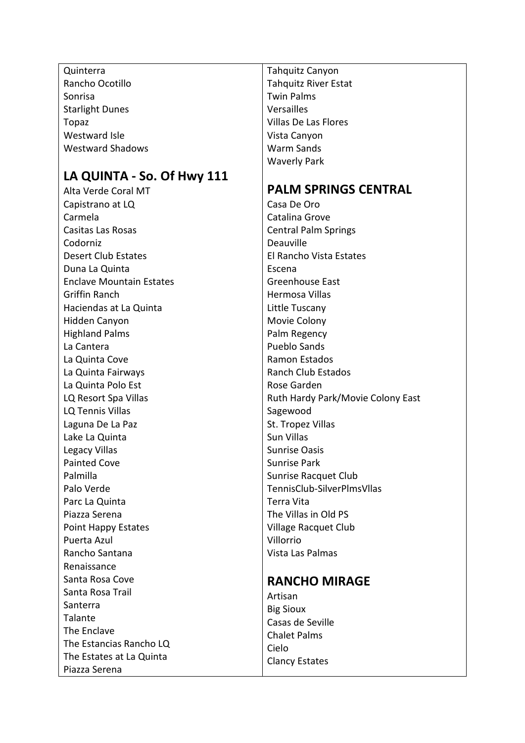Quinterra Rancho Ocotillo Sonrisa Starlight Dunes Topaz Westward Isle Westward Shadows

## **LA QUINTA - So. Of Hwy 111**

Alta Verde Coral MT Capistrano at LQ Carmela Casitas Las Rosas Codorniz Desert Club Estates Duna La Quinta Enclave Mountain Estates Griffin Ranch Haciendas at La Quinta Hidden Canyon Highland Palms La Cantera La Quinta Cove La Quinta Fairways La Quinta Polo Est LQ Resort Spa Villas LQ Tennis Villas Laguna De La Paz Lake La Quinta Legacy Villas Painted Cove Palmilla Palo Verde Parc La Quinta Piazza Serena Point Happy Estates Puerta Azul Rancho Santana Renaissance Santa Rosa Cove Santa Rosa Trail Santerra Talante The Enclave The Estancias Rancho LQ The Estates at La Quinta Piazza Serena

Tahquitz Canyon Tahquitz River Estat Twin Palms Versailles Villas De Las Flores Vista Canyon Warm Sands Waverly Park

## **PALM SPRINGS CENTRAL**

Casa De Oro Catalina Grove Central Palm Springs Deauville El Rancho Vista Estates Escena Greenhouse East Hermosa Villas Little Tuscany Movie Colony Palm Regency Pueblo Sands Ramon Estados Ranch Club Estados Rose Garden Ruth Hardy Park/Movie Colony East Sagewood St. Tropez Villas Sun Villas Sunrise Oasis Sunrise Park Sunrise Racquet Club TennisClub-SilverPlmsVllas Terra Vita The Villas in Old PS Village Racquet Club Villorrio Vista Las Palmas

### **RANCHO MIRAGE**

Artisan Big Sioux Casas de Seville Chalet Palms Cielo Clancy Estates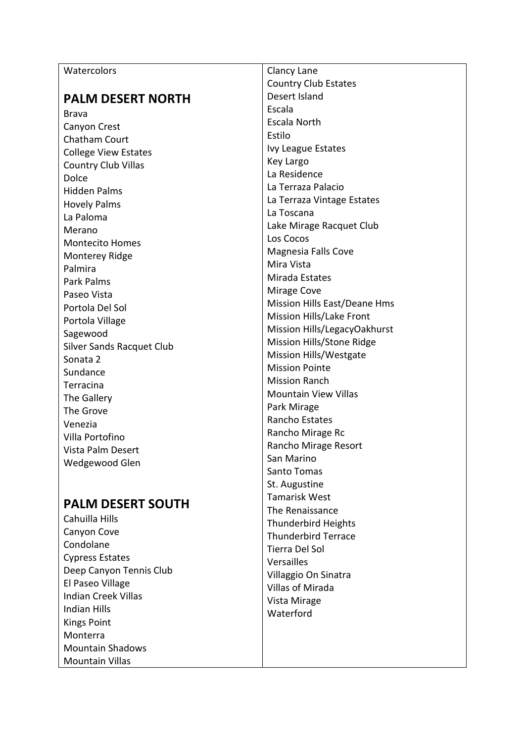| Watercolors                      | Clancy Lane                   |
|----------------------------------|-------------------------------|
|                                  | Country Club Estates          |
| <b>PALM DESERT NORTH</b>         | Desert Island                 |
| <b>Brava</b>                     | Escala                        |
| Canyon Crest                     | <b>Escala North</b>           |
| Chatham Court                    | Estilo                        |
| <b>College View Estates</b>      | Ivy League Estates            |
| <b>Country Club Villas</b>       | Key Largo                     |
| Dolce                            | La Residence                  |
| <b>Hidden Palms</b>              | La Terraza Palacio            |
| <b>Hovely Palms</b>              | La Terraza Vintage Estates    |
| La Paloma                        | La Toscana                    |
| Merano                           | Lake Mirage Racquet Club      |
| <b>Montecito Homes</b>           | Los Cocos                     |
| Monterey Ridge                   | Magnesia Falls Cove           |
| Palmira                          | Mira Vista                    |
| Park Palms                       | Mirada Estates                |
| Paseo Vista                      | Mirage Cove                   |
| Portola Del Sol                  | Mission Hills East/Deane Hms  |
| Portola Village                  | Mission Hills/Lake Front      |
| Sagewood                         | Mission Hills/LegacyOakhurst  |
| <b>Silver Sands Racquet Club</b> | Mission Hills/Stone Ridge     |
| Sonata 2                         | <b>Mission Hills/Westgate</b> |
| Sundance                         | <b>Mission Pointe</b>         |
| Terracina                        | <b>Mission Ranch</b>          |
| The Gallery                      | <b>Mountain View Villas</b>   |
| The Grove                        | Park Mirage                   |
| Venezia                          | Rancho Estates                |
| Villa Portofino                  | Rancho Mirage Rc              |
| Vista Palm Desert                | Rancho Mirage Resort          |
| Wedgewood Glen                   | San Marino                    |
|                                  | Santo Tomas                   |
|                                  | St. Augustine                 |
|                                  | Tamarick Wact                 |

## **PALM DESERT SOUTH**

Cahuilla Hills Canyon Cove Condolane Cypress Estates Deep Canyon Tennis Club El Paseo Village Indian Creek Villas Indian Hills Kings Point Monterra Mountain Shadows Mountain Villas

Tamarisk West The Renaissance Thunderbird Heights Thunderbird Terrace Tierra Del Sol Versailles Villaggio On Sinatra Villas of Mirada Vista Mirage Waterford